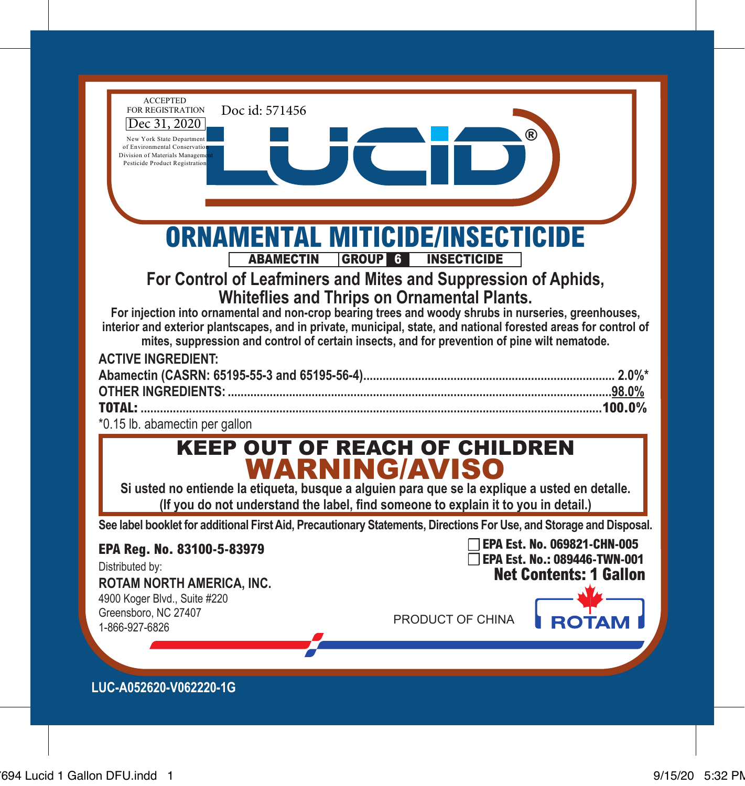| <b>ACCEPTED</b><br>Doc id: 571456<br><b>FOR REGISTRATION</b><br>Dec 31, 2020<br>New York State Departmen<br>of Environmental Conservatio<br>Division of Materials Manageme<br>Pesticide Product Registration                                                                                                                                                                                               |                                                                                                                                                                                       |                                                              |
|------------------------------------------------------------------------------------------------------------------------------------------------------------------------------------------------------------------------------------------------------------------------------------------------------------------------------------------------------------------------------------------------------------|---------------------------------------------------------------------------------------------------------------------------------------------------------------------------------------|--------------------------------------------------------------|
| <b>ABAMECTIN</b><br>For injection into ornamental and non-crop bearing trees and woody shrubs in nurseries, greenhouses,<br>interior and exterior plantscapes, and in private, municipal, state, and national forested areas for control of<br>mites, suppression and control of certain insects, and for prevention of pine wilt nematode.<br><b>ACTIVE INGREDIENT:</b><br>*0.15 lb. abamectin per gallon | ORNAMENTAL MITICIDE/INSECTICIDE<br><b>GROUP 6 INSECTICIDE</b><br>For Control of Leafminers and Mites and Suppression of Aphids,<br><b>Whiteflies and Thrips on Ornamental Plants.</b> |                                                              |
| Si usted no entiende la etiqueta, busque a alguien para que se la explique a usted en detalle.<br>See label booklet for additional First Aid, Precautionary Statements, Directions For Use, and Storage and Disposal.<br>EPA Reg. No. 83100-5-83979<br>Distributed by:                                                                                                                                     | <b>KEEP OUT OF REACH OF CHILDREN</b><br>WARNING/AVISO<br>(If you do not understand the label, find someone to explain it to you in detail.)                                           | TEPA Est. No. 069821-CHN-005<br>EPA Est. No.: 089446-TWN-001 |
| <b>ROTAM NORTH AMERICA, INC.</b><br>4900 Koger Blvd., Suite #220<br>Greensboro, NC 27407<br>1-866-927-6826<br>LUC-A052620-V062220-1G                                                                                                                                                                                                                                                                       | PRODUCT OF CHINA                                                                                                                                                                      | <b>Net Contents: 1 Gallon</b>                                |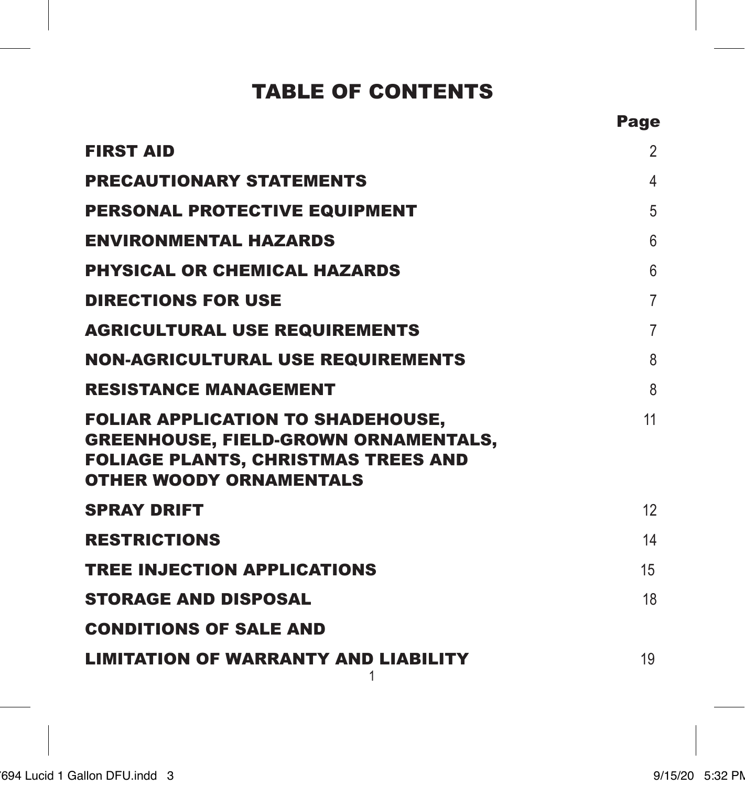### TABLE OF CONTENTS

Page

| <b>FIRST AID</b>                                                                                                                                                        | $\overline{2}$ |
|-------------------------------------------------------------------------------------------------------------------------------------------------------------------------|----------------|
| <b>PRECAUTIONARY STATEMENTS</b>                                                                                                                                         | $\overline{4}$ |
| <b>PERSONAL PROTECTIVE EQUIPMENT</b>                                                                                                                                    | 5              |
| <b>ENVIRONMENTAL HAZARDS</b>                                                                                                                                            | 6              |
| <b>PHYSICAL OR CHEMICAL HAZARDS</b>                                                                                                                                     | 6              |
| <b>DIRECTIONS FOR USE</b>                                                                                                                                               | 7              |
| <b>AGRICULTURAL USE REQUIREMENTS</b>                                                                                                                                    | 7              |
| <b>NON-AGRICULTURAL USE REQUIREMENTS</b>                                                                                                                                | 8              |
| <b>RESISTANCE MANAGEMENT</b>                                                                                                                                            | 8              |
| <b>FOLIAR APPLICATION TO SHADEHOUSE,</b><br><b>GREENHOUSE, FIELD-GROWN ORNAMENTALS,</b><br><b>FOLIAGE PLANTS, CHRISTMAS TREES AND</b><br><b>OTHER WOODY ORNAMENTALS</b> | 11             |
| <b>SPRAY DRIFT</b>                                                                                                                                                      | 12             |
| <b>RESTRICTIONS</b>                                                                                                                                                     | 14             |
| <b>TREE INJECTION APPLICATIONS</b>                                                                                                                                      | 15             |
| <b>STORAGE AND DISPOSAL</b>                                                                                                                                             | 18             |
| <b>CONDITIONS OF SALE AND</b>                                                                                                                                           |                |
| <b>LIMITATION OF WARRANTY AND LIABILITY</b>                                                                                                                             | 19             |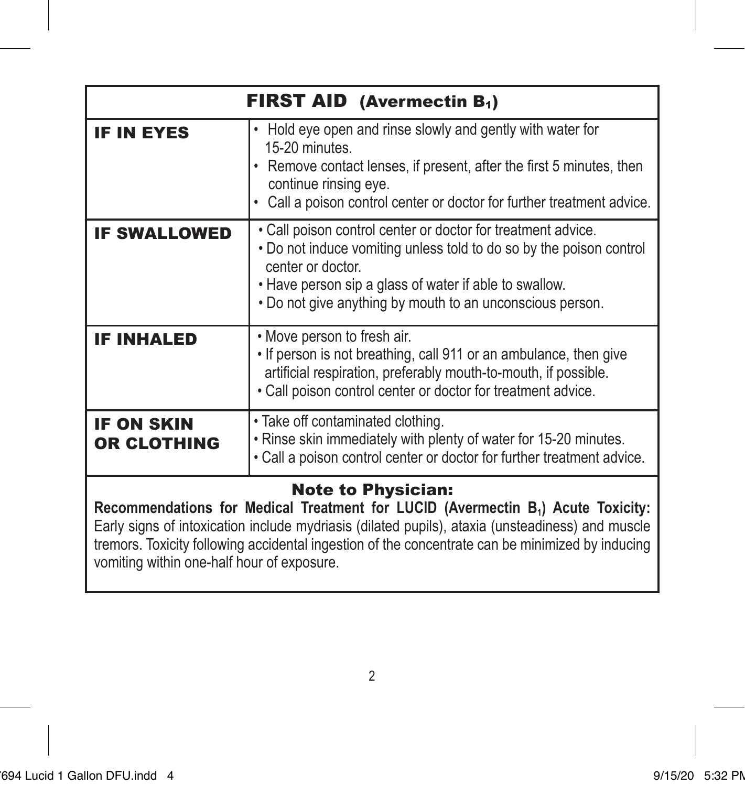| <b>FIRST AID</b> (Avermectin $B_1$ )                                                                                                                                                                                                                                                                                                                                            |                                                                                                                                                                                                                                                                                 |  |
|---------------------------------------------------------------------------------------------------------------------------------------------------------------------------------------------------------------------------------------------------------------------------------------------------------------------------------------------------------------------------------|---------------------------------------------------------------------------------------------------------------------------------------------------------------------------------------------------------------------------------------------------------------------------------|--|
| <b>IF IN EYES</b>                                                                                                                                                                                                                                                                                                                                                               | Hold eye open and rinse slowly and gently with water for<br>15-20 minutes<br>• Remove contact lenses, if present, after the first 5 minutes, then<br>continue rinsing eye.<br>Call a poison control center or doctor for further treatment advice.                              |  |
| <b>IF SWALLOWED</b>                                                                                                                                                                                                                                                                                                                                                             | • Call poison control center or doctor for treatment advice.<br>. Do not induce vomiting unless told to do so by the poison control<br>center or doctor.<br>. Have person sip a glass of water if able to swallow.<br>. Do not give anything by mouth to an unconscious person. |  |
| <b>IF INHALED</b>                                                                                                                                                                                                                                                                                                                                                               | • Move person to fresh air.<br>. If person is not breathing, call 911 or an ambulance, then give<br>artificial respiration, preferably mouth-to-mouth, if possible.<br>. Call poison control center or doctor for treatment advice.                                             |  |
| <b>IF ON SKIN</b><br><b>OR CLOTHING</b>                                                                                                                                                                                                                                                                                                                                         | . Take off contaminated clothing.<br>. Rinse skin immediately with plenty of water for 15-20 minutes.<br>. Call a poison control center or doctor for further treatment advice.                                                                                                 |  |
| <b>Note to Physician:</b><br>Recommendations for Medical Treatment for LUCID (Avermectin B <sub>1</sub> ) Acute Toxicity:<br>Early signs of intoxication include mydriasis (dilated pupils), ataxia (unsteadiness) and muscle<br>tremors. Toxicity following accidental ingestion of the concentrate can be minimized by inducing<br>vomiting within one-half hour of exposure. |                                                                                                                                                                                                                                                                                 |  |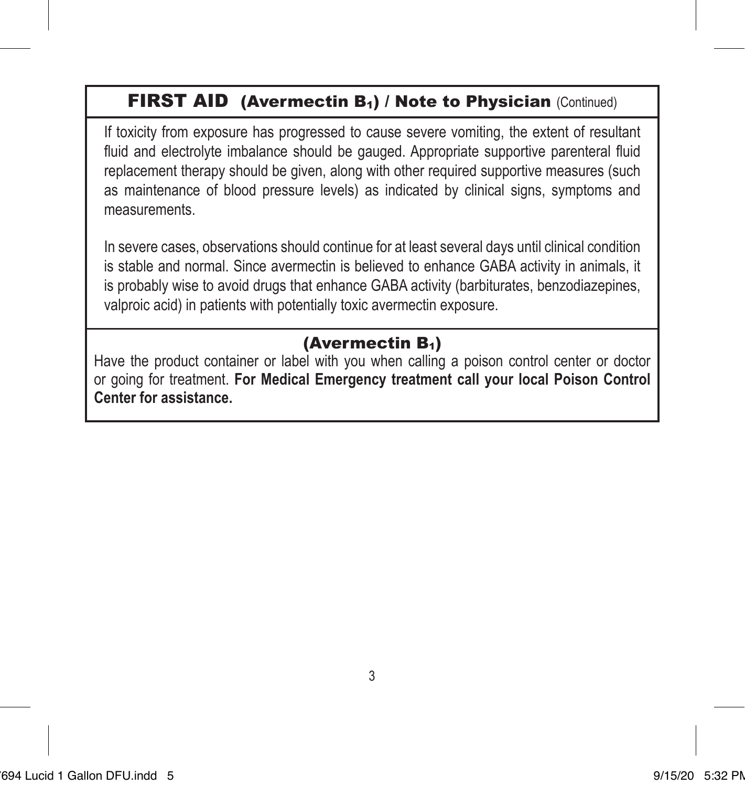### FIRST AID (Avermectin B<sub>1</sub>) / Note to Physician (Continued)

If toxicity from exposure has progressed to cause severe vomiting, the extent of resultant fluid and electrolyte imbalance should be gauged. Appropriate supportive parenteral fluid replacement therapy should be given, along with other required supportive measures (such as maintenance of blood pressure levels) as indicated by clinical signs, symptoms and measurements.

In severe cases, observations should continue for at least several days until clinical condition is stable and normal. Since avermectin is believed to enhance GABA activity in animals, it is probably wise to avoid drugs that enhance GABA activity (barbiturates, benzodiazepines, valproic acid) in patients with potentially toxic avermectin exposure.

### (Avermectin B1)

Have the product container or label with you when calling a poison control center or doctor or going for treatment. **For Medical Emergency treatment call your local Poison Control Center for assistance.**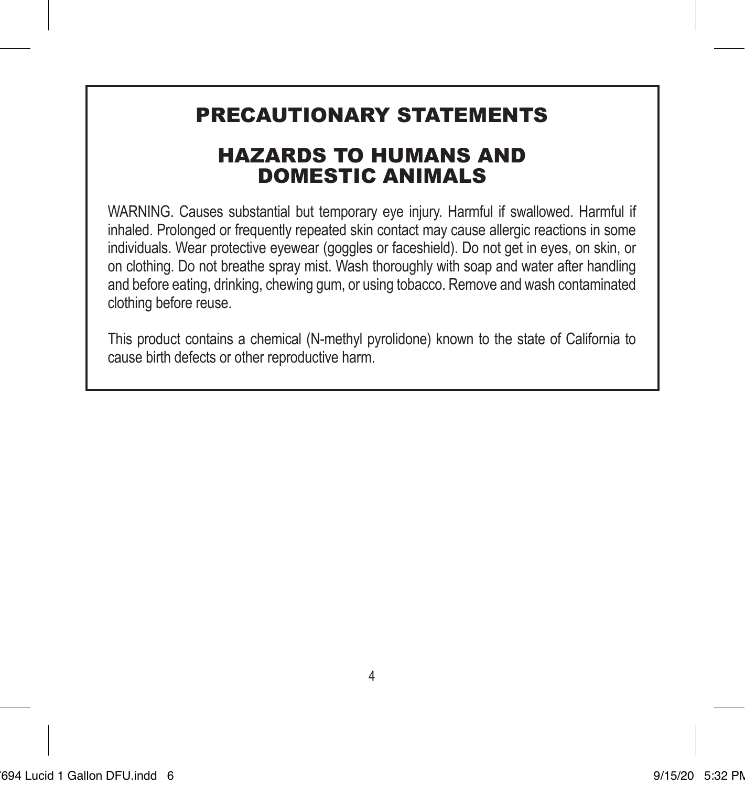### PRECAUTIONARY STATEMENTS

### HAZARDS TO HUMANS AND DOMESTIC ANIMALS

WARNING. Causes substantial but temporary eye injury. Harmful if swallowed. Harmful if inhaled. Prolonged or frequently repeated skin contact may cause allergic reactions in some individuals. Wear protective eyewear (goggles or faceshield). Do not get in eyes, on skin, or on clothing. Do not breathe spray mist. Wash thoroughly with soap and water after handling and before eating, drinking, chewing gum, or using tobacco. Remove and wash contaminated clothing before reuse.

This product contains a chemical (N-methyl pyrolidone) known to the state of California to cause birth defects or other reproductive harm.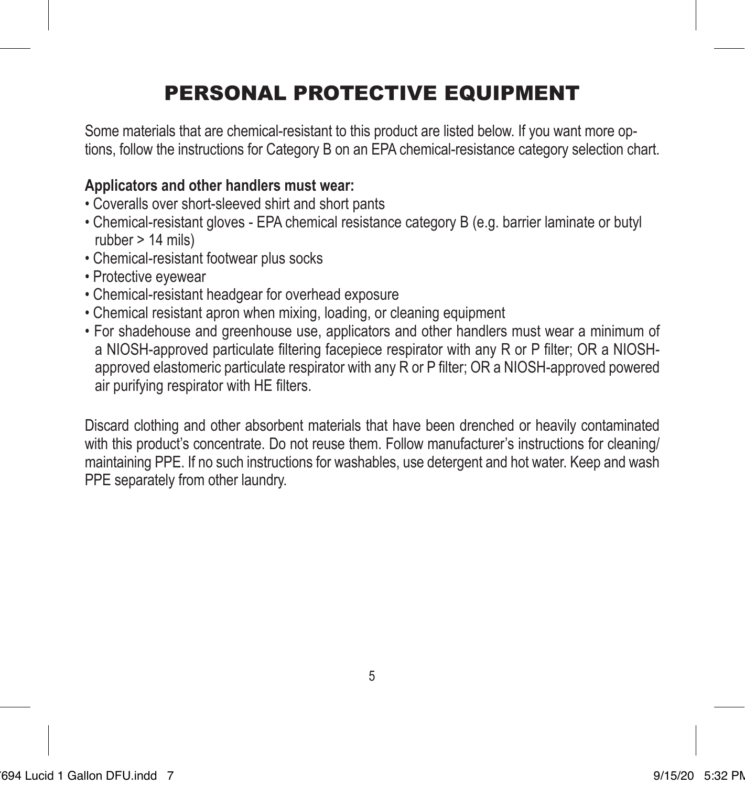# PERSONAL PROTECTIVE EQUIPMENT

Some materials that are chemical-resistant to this product are listed below. If you want more options, follow the instructions for Category B on an EPA chemical-resistance category selection chart.

### **Applicators and other handlers must wear:**

- Coveralls over short-sleeved shirt and short pants
- Chemical-resistant gloves EPA chemical resistance category B (e.g. barrier laminate or butyl rubber > 14 mils)
- Chemical-resistant footwear plus socks
- Protective eyewear
- Chemical-resistant headgear for overhead exposure
- Chemical resistant apron when mixing, loading, or cleaning equipment
- For shadehouse and greenhouse use, applicators and other handlers must wear a minimum of a NIOSH-approved particulate filtering facepiece respirator with any R or P filter; OR a NIOSHapproved elastomeric particulate respirator with any R or P filter; OR a NIOSH-approved powered air purifying respirator with HE filters.

Discard clothing and other absorbent materials that have been drenched or heavily contaminated with this product's concentrate. Do not reuse them. Follow manufacturer's instructions for cleaning/ maintaining PPE. If no such instructions for washables, use detergent and hot water. Keep and wash PPE separately from other laundry.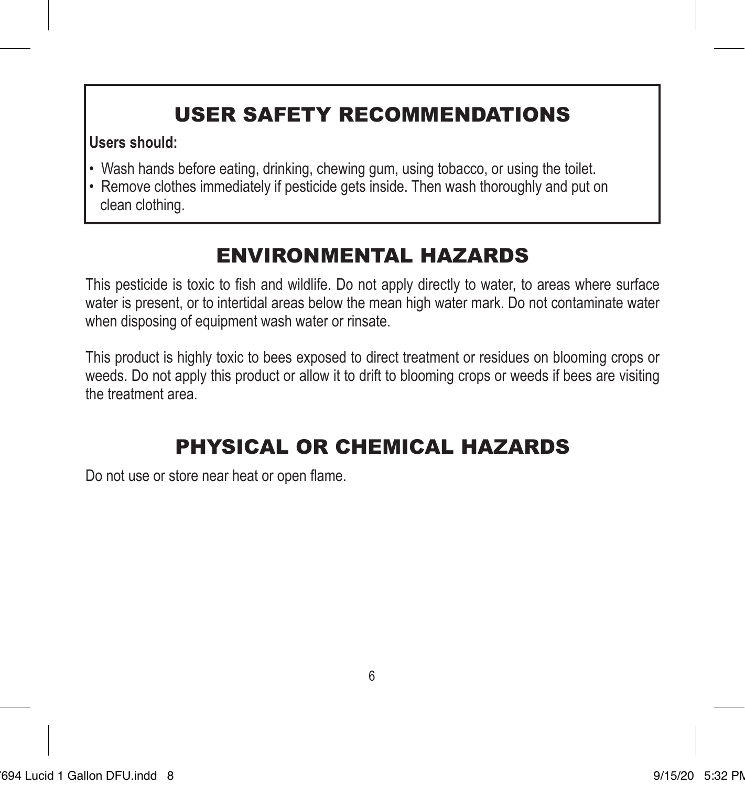# USER SAFETY RECOMMENDATIONS

### **Users should:**

- Wash hands before eating, drinking, chewing gum, using tobacco, or using the toilet.
- Remove clothes immediately if pesticide gets inside. Then wash thoroughly and put on clean clothing.

# ENVIRONMENTAL HAZARDS

This pesticide is toxic to fish and wildlife. Do not apply directly to water, to areas where surface water is present, or to intertidal areas below the mean high water mark. Do not contaminate water when disposing of equipment wash water or rinsate.

This product is highly toxic to bees exposed to direct treatment or residues on blooming crops or weeds. Do not apply this product or allow it to drift to blooming crops or weeds if bees are visiting the treatment area.

# PHYSICAL OR CHEMICAL HAZARDS

Do not use or store near heat or open flame.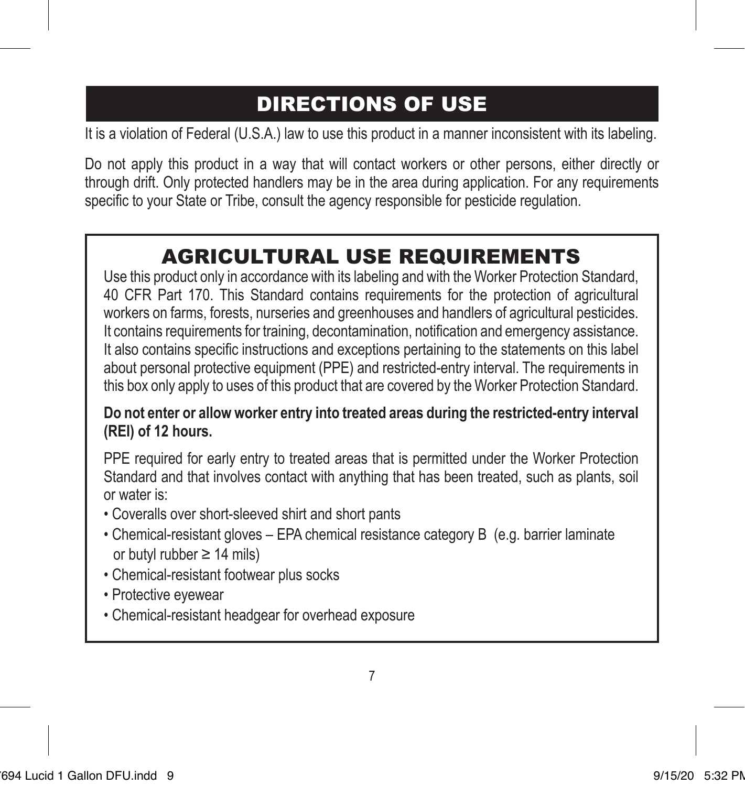# DIRECTIONS OF USE

It is a violation of Federal (U.S.A.) law to use this product in a manner inconsistent with its labeling.

Do not apply this product in a way that will contact workers or other persons, either directly or through drift. Only protected handlers may be in the area during application. For any requirements specific to your State or Tribe, consult the agency responsible for pesticide regulation.

# AGRICULTURAL USE REQUIREMENTS

Use this product only in accordance with its labeling and with the Worker Protection Standard, 40 CFR Part 170. This Standard contains requirements for the protection of agricultural workers on farms, forests, nurseries and greenhouses and handlers of agricultural pesticides. It contains requirements for training, decontamination, notification and emergency assistance. It also contains specific instructions and exceptions pertaining to the statements on this label about personal protective equipment (PPE) and restricted-entry interval. The requirements in this box only apply to uses of this product that are covered by the Worker Protection Standard.

### **Do not enter or allow worker entry into treated areas during the restricted-entry interval (REI) of 12 hours.**

PPE required for early entry to treated areas that is permitted under the Worker Protection Standard and that involves contact with anything that has been treated, such as plants, soil or water is:

- Coveralls over short-sleeved shirt and short pants
- Chemical-resistant gloves EPA chemical resistance category B (e.g. barrier laminate or butyl rubber ≥ 14 mils)
- Chemical-resistant footwear plus socks
- Protective eyewear
- Chemical-resistant headgear for overhead exposure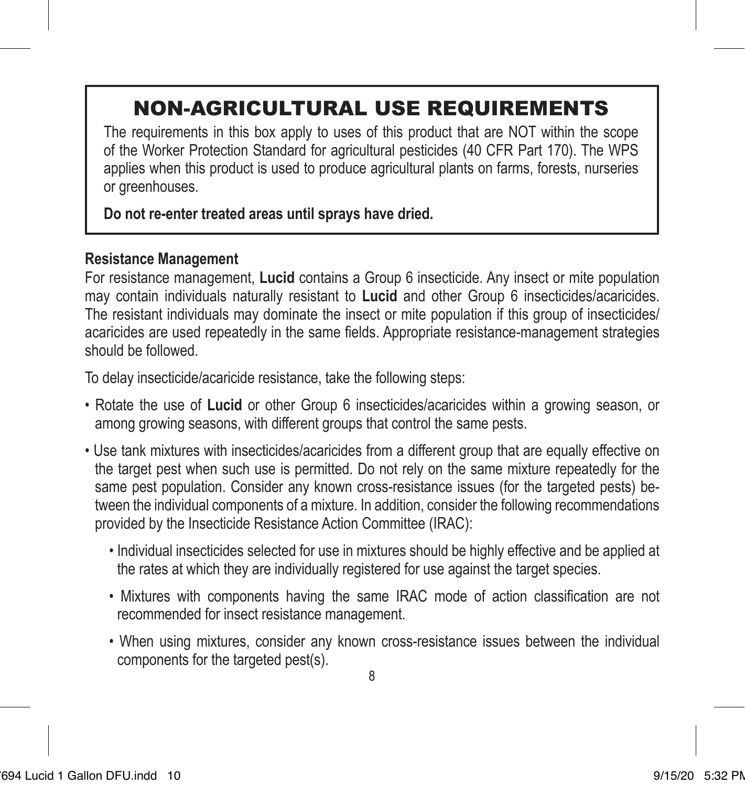# NON-AGRICULTURAL USE REQUIREMENTS

The requirements in this box apply to uses of this product that are NOT within the scope of the Worker Protection Standard for agricultural pesticides (40 CFR Part 170). The WPS applies when this product is used to produce agricultural plants on farms, forests, nurseries or greenhouses.

#### **Do not re-enter treated areas until sprays have dried.**

### **Resistance Management**

For resistance management, **Lucid** contains a Group 6 insecticide. Any insect or mite population may contain individuals naturally resistant to **Lucid** and other Group 6 insecticides/acaricides. The resistant individuals may dominate the insect or mite population if this group of insecticides/ acaricides are used repeatedly in the same fields. Appropriate resistance-management strategies should be followed.

To delay insecticide/acaricide resistance, take the following steps:

- Rotate the use of **Lucid** or other Group 6 insecticides/acaricides within a growing season, or among growing seasons, with different groups that control the same pests.
- Use tank mixtures with insecticides/acaricides from a different group that are equally effective on the target pest when such use is permitted. Do not rely on the same mixture repeatedly for the same pest population. Consider any known cross-resistance issues (for the targeted pests) between the individual components of a mixture. In addition, consider the following recommendations provided by the Insecticide Resistance Action Committee (IRAC):
	- Individual insecticides selected for use in mixtures should be highly effective and be applied at the rates at which they are individually registered for use against the target species.
	- Mixtures with components having the same IRAC mode of action classification are not recommended for insect resistance management.
	- When using mixtures, consider any known cross-resistance issues between the individual components for the targeted pest(s).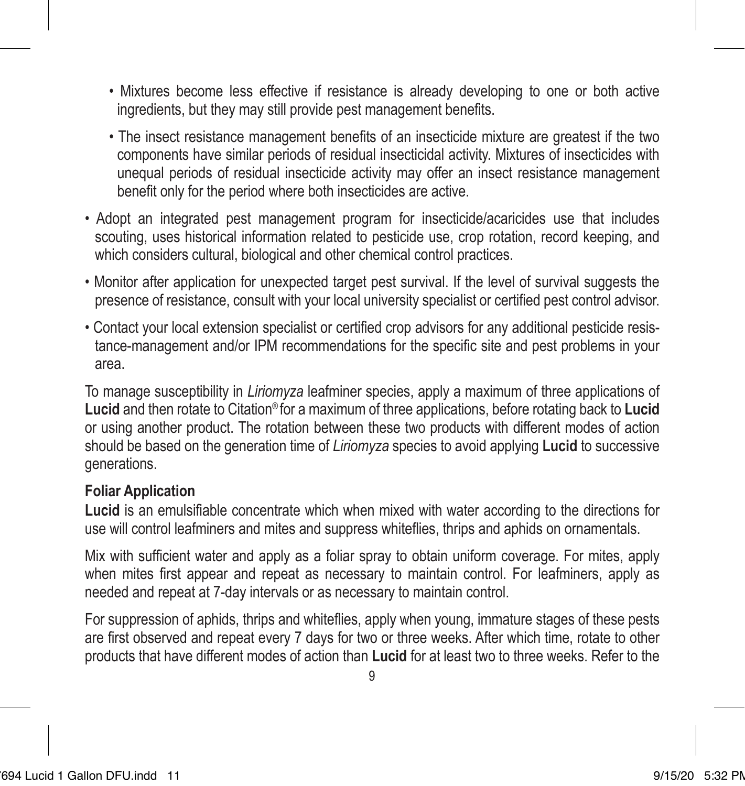- Mixtures become less effective if resistance is already developing to one or both active ingredients, but they may still provide pest management benefits.
- The insect resistance management benefits of an insecticide mixture are greatest if the two components have similar periods of residual insecticidal activity. Mixtures of insecticides with unequal periods of residual insecticide activity may offer an insect resistance management benefit only for the period where both insecticides are active.
- Adopt an integrated pest management program for insecticide/acaricides use that includes scouting, uses historical information related to pesticide use, crop rotation, record keeping, and which considers cultural, biological and other chemical control practices.
- Monitor after application for unexpected target pest survival. If the level of survival suggests the presence of resistance, consult with your local university specialist or certified pest control advisor.
- Contact your local extension specialist or certified crop advisors for any additional pesticide resistance-management and/or IPM recommendations for the specific site and pest problems in your area.

To manage susceptibility in *Liriomyza* leafminer species, apply a maximum of three applications of **Lucid** and then rotate to Citation® for a maximum of three applications, before rotating back to **Lucid** or using another product. The rotation between these two products with different modes of action should be based on the generation time of *Liriomyza* species to avoid applying **Lucid** to successive generations.

#### **Foliar Application**

**Lucid** is an emulsifiable concentrate which when mixed with water according to the directions for use will control leafminers and mites and suppress whiteflies, thrips and aphids on ornamentals.

Mix with sufficient water and apply as a foliar spray to obtain uniform coverage. For mites, apply when mites first appear and repeat as necessary to maintain control. For leafminers, apply as needed and repeat at 7-day intervals or as necessary to maintain control.

For suppression of aphids, thrips and whiteflies, apply when young, immature stages of these pests are first observed and repeat every 7 days for two or three weeks. After which time, rotate to other products that have different modes of action than **Lucid** for at least two to three weeks. Refer to the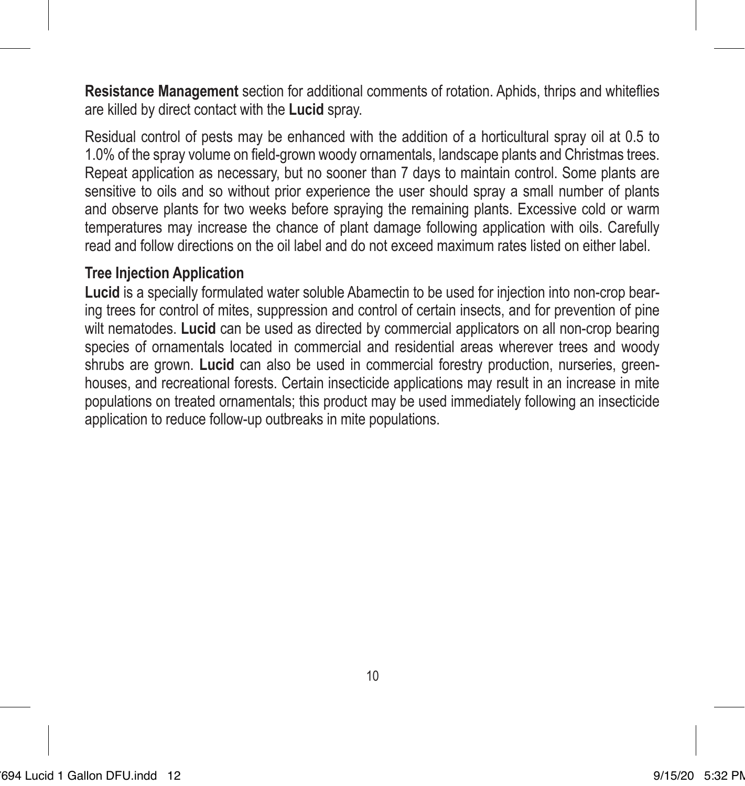**Resistance Management** section for additional comments of rotation. Aphids, thrips and whiteflies are killed by direct contact with the **Lucid** spray.

Residual control of pests may be enhanced with the addition of a horticultural spray oil at 0.5 to 1.0% of the spray volume on field-grown woody ornamentals, landscape plants and Christmas trees. Repeat application as necessary, but no sooner than 7 days to maintain control. Some plants are sensitive to oils and so without prior experience the user should spray a small number of plants and observe plants for two weeks before spraying the remaining plants. Excessive cold or warm temperatures may increase the chance of plant damage following application with oils. Carefully read and follow directions on the oil label and do not exceed maximum rates listed on either label.

#### **Tree Injection Application**

**Lucid** is a specially formulated water soluble Abamectin to be used for injection into non-crop bearing trees for control of mites, suppression and control of certain insects, and for prevention of pine wilt nematodes. **Lucid** can be used as directed by commercial applicators on all non-crop bearing species of ornamentals located in commercial and residential areas wherever trees and woody shrubs are grown. **Lucid** can also be used in commercial forestry production, nurseries, greenhouses, and recreational forests. Certain insecticide applications may result in an increase in mite populations on treated ornamentals; this product may be used immediately following an insecticide application to reduce follow-up outbreaks in mite populations.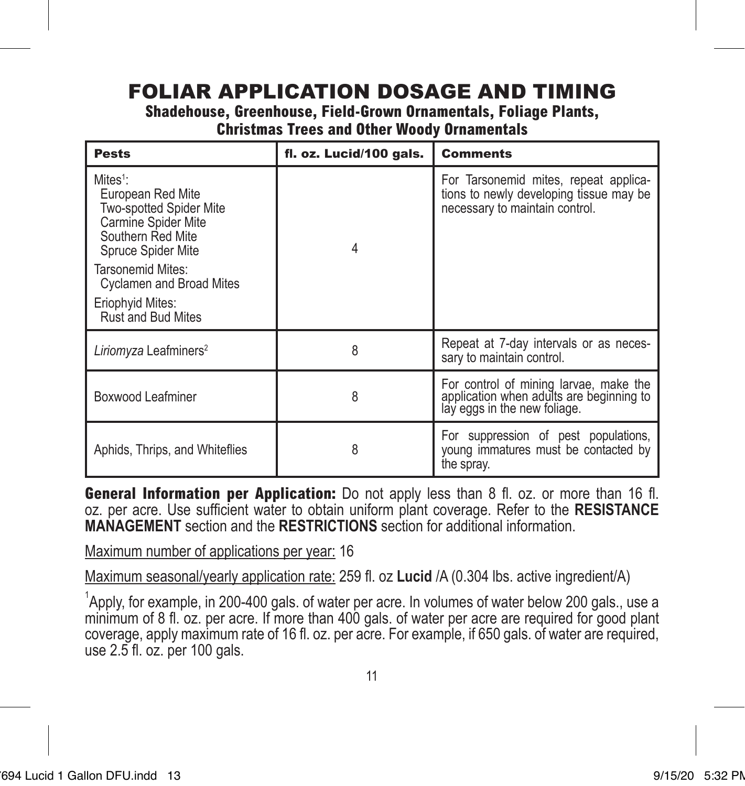### FOLIAR APPLICATION DOSAGE AND TIMING

**Shadehouse, Greenhouse, Field-Grown Ornamentals, Foliage Plants,** 

**Christmas Trees and Other Woody Ornamentals**

| <b>Pests</b>                                                                                                                                                                                                                                    | fl. oz. Lucid/100 gals. | <b>Comments</b>                                                                                                    |
|-------------------------------------------------------------------------------------------------------------------------------------------------------------------------------------------------------------------------------------------------|-------------------------|--------------------------------------------------------------------------------------------------------------------|
| Mites <sup>1</sup> :<br>European Red Mite<br><b>Two-spotted Spider Mite</b><br>Carmine Spider Mite<br>Southern Red Mite<br>Spruce Spider Mite<br>Tarsonemid Mites:<br><b>Cyclamen and Broad Mites</b><br>Eriophyid Mites:<br>Rust and Bud Mites |                         | For Tarsonemid mites, repeat applica-<br>tions to newly developing tissue may be<br>necessary to maintain control. |
| Liriomyza Leafminers <sup>2</sup>                                                                                                                                                                                                               | 8                       | Repeat at 7-day intervals or as neces-<br>sary to maintain control.                                                |
| Boxwood Leafminer                                                                                                                                                                                                                               | 8                       | For control of mining larvae, make the<br>application when adults are beginning to<br>lay eggs in the new foliage. |
| Aphids, Thrips, and Whiteflies                                                                                                                                                                                                                  | 8                       | For suppression of pest populations,<br>young immatures must be contacted by<br>the spray.                         |

**General Information per Application:** Do not apply less than 8 fl. oz. or more than 16 fl. oz. per acre. Use sufficient water to obtain uniform plant coverage. Refer to the **RESISTANCE MANAGEMENT** section and the **RESTRICTIONS** section for additional information.

Maximum number of applications per year: 16

Maximum seasonal/yearly application rate: 259 fl. oz **Lucid** /A (0.304 lbs. active ingredient/A)

<sup>1</sup>Apply, for example, in 200-400 gals. of water per acre. In volumes of water below 200 gals., use a minimum of 8 fl. oz. per acre. If more than 400 gals. of water per acre are required for good plant coverage, apply maximum rate of 16 fl. oz. per acre. For example, if 650 gals. of water are required, use 2.5 fl. oz. per 100 gals.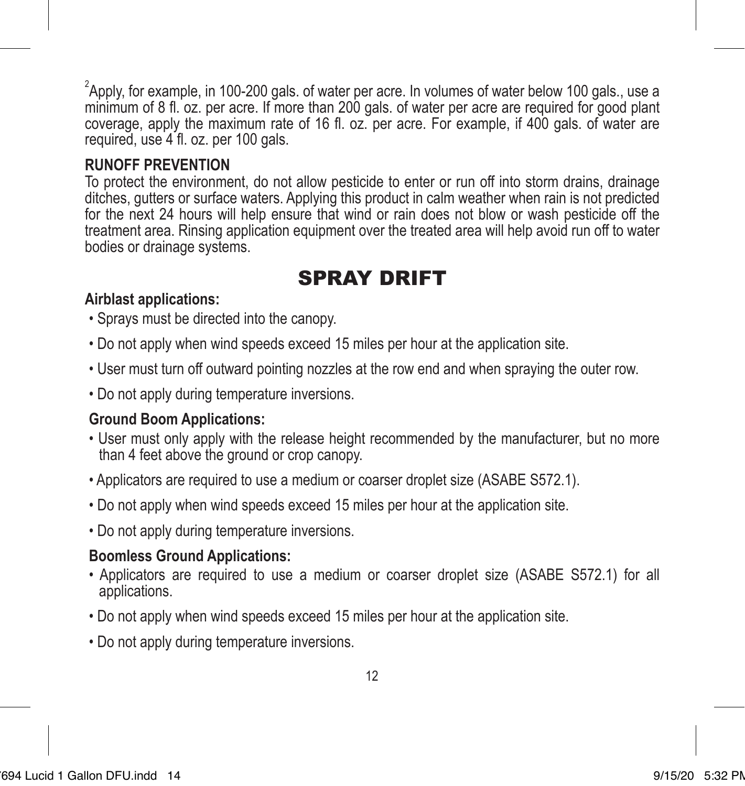$^2$ Apply, for example, in 100-200 gals. of water per acre. In volumes of water below 100 gals., use a minimum of 8 fl. oz. per acre. If more than 200 gals. of water per acre are required for good plant coverage, apply the maximum rate of 16 fl. oz. per acre. For example, if 400 gals. of water are required, use 4 fl. oz. per 100 gals.

### **RUNOFF PREVENTION**

To protect the environment, do not allow pesticide to enter or run off into storm drains, drainage ditches, gutters or surface waters. Applying this product in calm weather when rain is not predicted for the next 24 hours will help ensure that wind or rain does not blow or wash pesticide off the treatment area. Rinsing application equipment over the treated area will help avoid run off to water bodies or drainage systems.

### SPRAY DRIFT

#### **Airblast applications:**

- Sprays must be directed into the canopy.
- Do not apply when wind speeds exceed 15 miles per hour at the application site.
- User must turn off outward pointing nozzles at the row end and when spraying the outer row.
- Do not apply during temperature inversions.

#### **Ground Boom Applications:**

- User must only apply with the release height recommended by the manufacturer, but no more than 4 feet above the ground or crop canopy.
- Applicators are required to use a medium or coarser droplet size (ASABE S572.1).
- Do not apply when wind speeds exceed 15 miles per hour at the application site.
- Do not apply during temperature inversions.

### **Boomless Ground Applications:**

- Applicators are required to use a medium or coarser droplet size (ASABE S572.1) for all applications.
- Do not apply when wind speeds exceed 15 miles per hour at the application site.
- Do not apply during temperature inversions.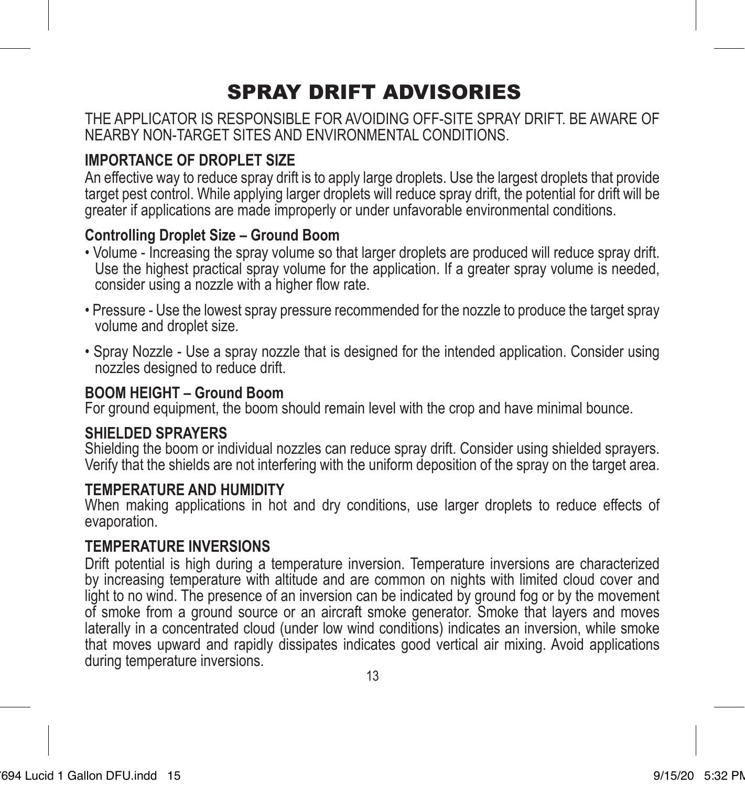# SPRAY DRIFT ADVISORIES

THE APPLICATOR IS RESPONSIBLE FOR AVOIDING OFF-SITE SPRAY DRIFT. BE AWARE OF NEARBY NON-TARGET SITES AND ENVIRONMENTAL CONDITIONS.

### **IMPORTANCE OF DROPLET SIZE**

An effective way to reduce spray drift is to apply large droplets. Use the largest droplets that provide target pest control. While applying larger droplets will reduce spray drift, the potential for drift will be greater if applications are made improperly or under unfavorable environmental conditions.

#### **Controlling Droplet Size – Ground Boom**

- Volume Increasing the spray volume so that larger droplets are produced will reduce spray drift. Use the highest practical spray volume for the application. If a greater spray volume is needed, consider using a nozzle with a higher flow rate.
- Pressure Use the lowest spray pressure recommended for the nozzle to produce the target spray volume and droplet size.
- Spray Nozzle Use a spray nozzle that is designed for the intended application. Consider using nozzles designed to reduce drift.

#### **BOOM HEIGHT – Ground Boom**

For ground equipment, the boom should remain level with the crop and have minimal bounce.

#### **SHIELDED SPRAYERS**

Shielding the boom or individual nozzles can reduce spray drift. Consider using shielded sprayers. Verify that the shields are not interfering with the uniform deposition of the spray on the target area.

#### **TEMPERATURE AND HUMIDITY**

When making applications in hot and dry conditions, use larger droplets to reduce effects of evaporation.

### **TEMPERATURE INVERSIONS**

Drift potential is high during a temperature inversion. Temperature inversions are characterized by increasing temperature with altitude and are common on nights with limited cloud cover and light to no wind. The presence of an inversion can be indicated by ground fog or by the movement of smoke from a ground source or an aircraft smoke generator. Smoke that layers and moves laterally in a concentrated cloud (under low wind conditions) indicates an inversion, while smoke that moves upward and rapidly dissipates indicates good vertical air mixing. Avoid applications during temperature inversions.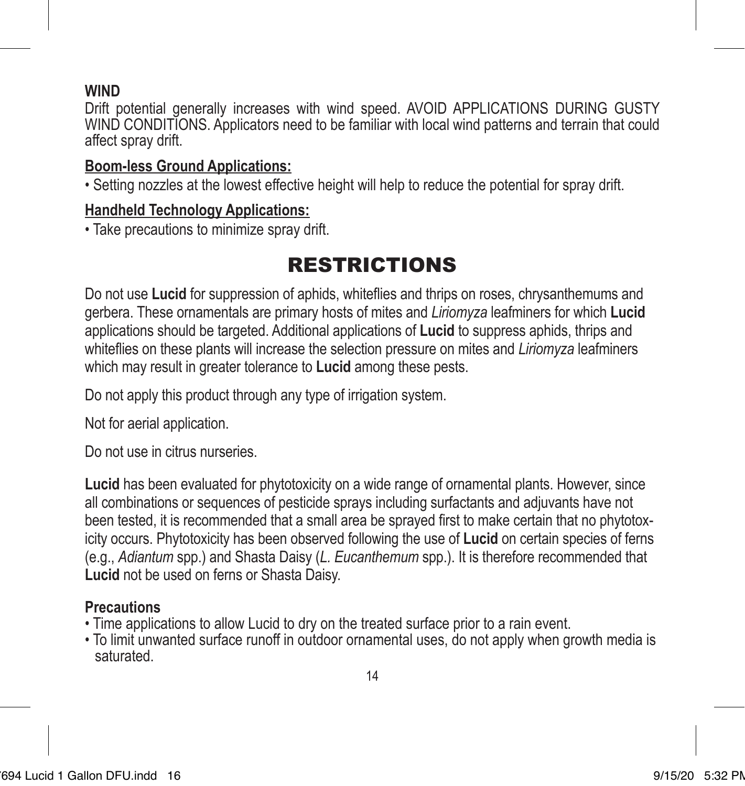### **WIND**

Drift potential generally increases with wind speed. AVOID APPLICATIONS DURING GUSTY WIND CONDITIONS. Applicators need to be familiar with local wind patterns and terrain that could affect spray drift.

### **Boom-less Ground Applications:**

• Setting nozzles at the lowest effective height will help to reduce the potential for spray drift.

#### **Handheld Technology Applications:**

• Take precautions to minimize spray drift.

# RESTRICTIONS

Do not use **Lucid** for suppression of aphids, whiteflies and thrips on roses, chrysanthemums and gerbera. These ornamentals are primary hosts of mites and *Liriomyza* leafminers for which **Lucid** applications should be targeted. Additional applications of **Lucid** to suppress aphids, thrips and whiteflies on these plants will increase the selection pressure on mites and *Liriomyza* leafminers which may result in greater tolerance to **Lucid** among these pests.

Do not apply this product through any type of irrigation system.

Not for aerial application.

Do not use in citrus nurseries.

**Lucid** has been evaluated for phytotoxicity on a wide range of ornamental plants. However, since all combinations or sequences of pesticide sprays including surfactants and adjuvants have not been tested, it is recommended that a small area be sprayed first to make certain that no phytotoxicity occurs. Phytotoxicity has been observed following the use of **Lucid** on certain species of ferns (e.g., *Adiantum* spp.) and Shasta Daisy (*L. Eucanthemum* spp.). It is therefore recommended that **Lucid** not be used on ferns or Shasta Daisy.

### **Precautions**

- Time applications to allow Lucid to dry on the treated surface prior to a rain event.
- To limit unwanted surface runoff in outdoor ornamental uses, do not apply when growth media is saturated.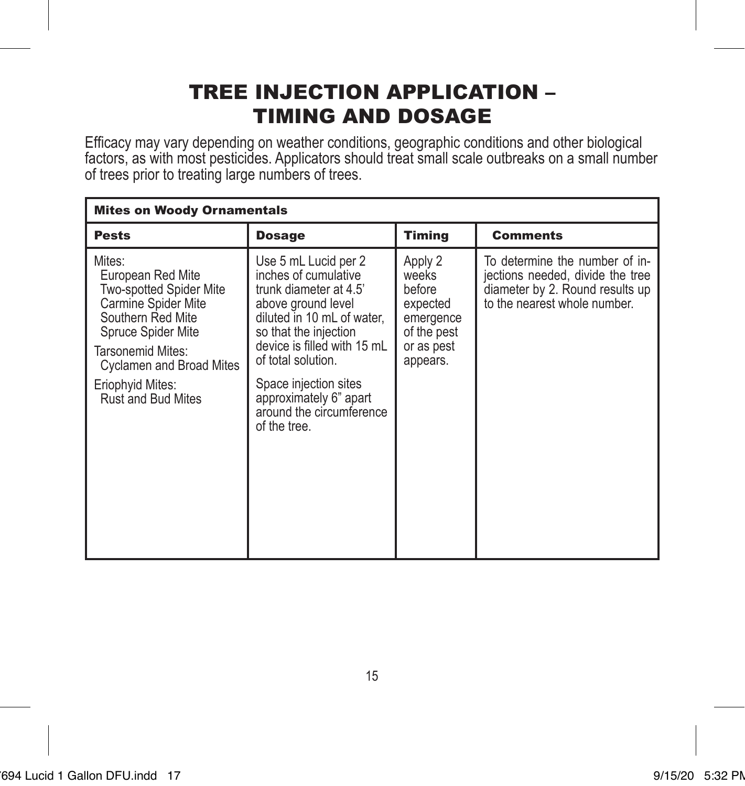### TREE INJECTION APPLICATION – TIMING AND DOSAGE

Efficacy may vary depending on weather conditions, geographic conditions and other biological factors, as with most pesticides. Applicators should treat small scale outbreaks on a small number of trees prior to treating large numbers of trees.

| <b>Mites on Woody Ornamentals</b>                                                                                                                                                                                          |                                                                                                                                                                                                                                                                                                         |                                                                                              |                                                                                                                                       |
|----------------------------------------------------------------------------------------------------------------------------------------------------------------------------------------------------------------------------|---------------------------------------------------------------------------------------------------------------------------------------------------------------------------------------------------------------------------------------------------------------------------------------------------------|----------------------------------------------------------------------------------------------|---------------------------------------------------------------------------------------------------------------------------------------|
| <b>Pests</b>                                                                                                                                                                                                               | <b>Dosage</b>                                                                                                                                                                                                                                                                                           | <b>Timing</b>                                                                                | <b>Comments</b>                                                                                                                       |
| Mites:<br>European Red Mite<br><b>Two-spotted Spider Mite</b><br>Carmine Spider Mite<br>Southern Red Mite<br>Spruce Spider Mite<br>Tarsonemid Mites:<br>Cyclamen and Broad Mites<br>Eriophyid Mites:<br>Rust and Bud Mites | Use 5 mL Lucid per 2<br>inches of cumulative<br>trunk diameter at 4.5'<br>above ground level<br>diluted in 10 mL of water.<br>so that the injection<br>device is filled with 15 mL<br>of total solution.<br>Space injection sites<br>approximately 6" apart<br>around the circumference<br>of the tree. | Apply 2<br>weeks<br>before<br>expected<br>emergence<br>of the pest<br>or as pest<br>appears. | To determine the number of in-<br>jections needed, divide the tree<br>diameter by 2. Round results up<br>to the nearest whole number. |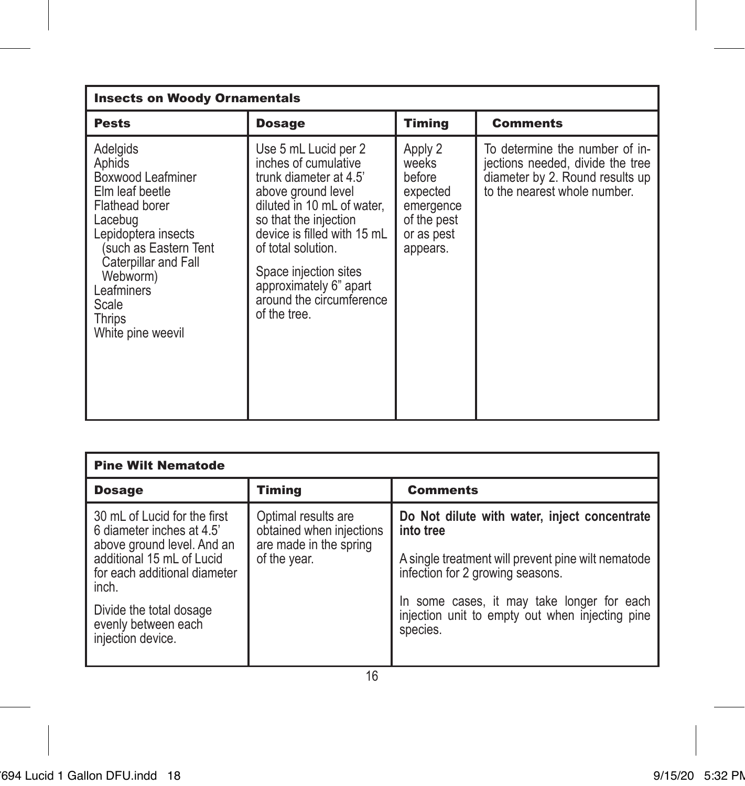| <b>Insects on Woody Ornamentals</b>                                                                                                                                                                                              |                                                                                                                                                                                                                                                                                                         |                                                                                              |                                                                                                                                       |
|----------------------------------------------------------------------------------------------------------------------------------------------------------------------------------------------------------------------------------|---------------------------------------------------------------------------------------------------------------------------------------------------------------------------------------------------------------------------------------------------------------------------------------------------------|----------------------------------------------------------------------------------------------|---------------------------------------------------------------------------------------------------------------------------------------|
| <b>Pests</b>                                                                                                                                                                                                                     | <b>Dosage</b>                                                                                                                                                                                                                                                                                           | <b>Timing</b>                                                                                | <b>Comments</b>                                                                                                                       |
| Adelgids<br>Aphids<br>Boxwood Leafminer<br>Elm leaf beetle<br>Flathead borer<br>Lacebug<br>Lepidoptera insects<br>such as Eastern Tent<br>Caterpillar and Fall<br>Webworm)<br>Leafminers<br>Scale<br>Thrips<br>White pine weevil | Use 5 mL Lucid per 2<br>inches of cumulative<br>trunk diameter at 4.5'<br>above ground level<br>diluted in 10 mL of water.<br>so that the injection<br>device is filled with 15 mL<br>of total solution.<br>Space injection sites<br>approximately 6" apart<br>around the circumference<br>of the tree. | Apply 2<br>weeks<br>before<br>expected<br>emergence<br>of the pest<br>or as pest<br>appears. | To determine the number of in-<br>jections needed, divide the tree<br>diameter by 2. Round results up<br>to the nearest whole number. |

| <b>Pine Wilt Nematode</b>                                                               |                                                                           |                                                                                                           |  |
|-----------------------------------------------------------------------------------------|---------------------------------------------------------------------------|-----------------------------------------------------------------------------------------------------------|--|
| <b>Dosage</b>                                                                           | Timing                                                                    | <b>Comments</b>                                                                                           |  |
| 30 mL of Lucid for the first<br>6 diameter inches at 4.5'<br>above ground level. And an | Optimal results are<br>obtained when injections<br>are made in the spring | Do Not dilute with water, inject concentrate<br>into tree                                                 |  |
| additional 15 mL of Lucid<br>for each additional diameter<br>inch.                      | of the year.                                                              | A single treatment will prevent pine wilt nematode<br>infection for 2 growing seasons.                    |  |
| Divide the total dosage<br>evenly between each<br>injection device.                     |                                                                           | In some cases, it may take longer for each<br>injection unit to empty out when injecting pine<br>species. |  |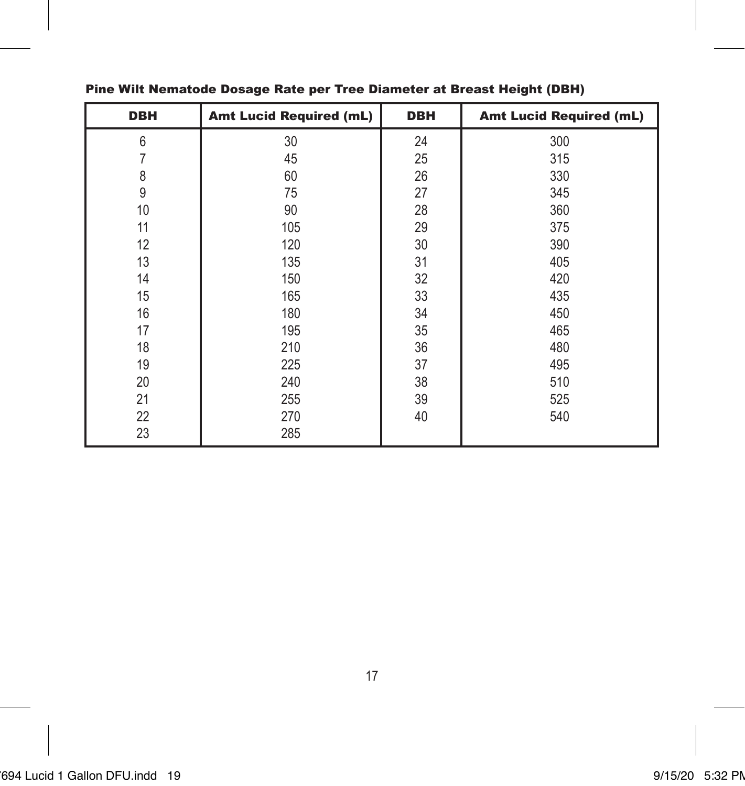| <b>DBH</b> | <b>Amt Lucid Required (mL)</b> | <b>DBH</b> | <b>Amt Lucid Required (mL)</b> |
|------------|--------------------------------|------------|--------------------------------|
| 6          | 30                             | 24         | 300                            |
|            | 45                             | 25         | 315                            |
| 8          | 60                             | 26         | 330                            |
| 9          | 75                             | 27         | 345                            |
| 10         | 90                             | 28         | 360                            |
| 11         | 105                            | 29         | 375                            |
| 12         | 120                            | 30         | 390                            |
| 13         | 135                            | 31         | 405                            |
| 14         | 150                            | 32         | 420                            |
| 15         | 165                            | 33         | 435                            |
| 16         | 180                            | 34         | 450                            |
| 17         | 195                            | 35         | 465                            |
| 18         | 210                            | 36         | 480                            |
| 19         | 225                            | 37         | 495                            |
| 20         | 240                            | 38         | 510                            |
| 21         | 255                            | 39         | 525                            |
| 22         | 270                            | 40         | 540                            |
| 23         | 285                            |            |                                |

#### Pine Wilt Nematode Dosage Rate per Tree Diameter at Breast Height (DBH)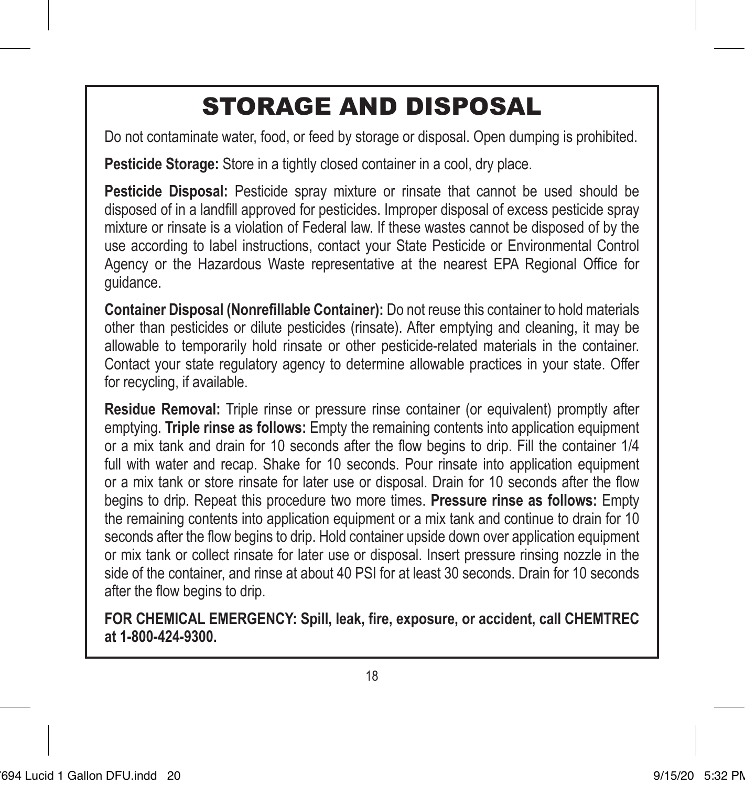# STORAGE AND DISPOSAL

Do not contaminate water, food, or feed by storage or disposal. Open dumping is prohibited.

**Pesticide Storage:** Store in a tightly closed container in a cool, dry place.

**Pesticide Disposal:** Pesticide spray mixture or rinsate that cannot be used should be disposed of in a landfill approved for pesticides. Improper disposal of excess pesticide spray mixture or rinsate is a violation of Federal law. If these wastes cannot be disposed of by the use according to label instructions, contact your State Pesticide or Environmental Control Agency or the Hazardous Waste representative at the nearest EPA Regional Office for guidance.

**Container Disposal (Nonrefillable Container):** Do not reuse this container to hold materials other than pesticides or dilute pesticides (rinsate). After emptying and cleaning, it may be allowable to temporarily hold rinsate or other pesticide-related materials in the container. Contact your state regulatory agency to determine allowable practices in your state. Offer for recycling, if available.

**Residue Removal:** Triple rinse or pressure rinse container (or equivalent) promptly after emptying. **Triple rinse as follows:** Empty the remaining contents into application equipment or a mix tank and drain for 10 seconds after the flow begins to drip. Fill the container 1/4 full with water and recap. Shake for 10 seconds. Pour rinsate into application equipment or a mix tank or store rinsate for later use or disposal. Drain for 10 seconds after the flow begins to drip. Repeat this procedure two more times. **Pressure rinse as follows:** Empty the remaining contents into application equipment or a mix tank and continue to drain for 10 seconds after the flow begins to drip. Hold container upside down over application equipment or mix tank or collect rinsate for later use or disposal. Insert pressure rinsing nozzle in the side of the container, and rinse at about 40 PSI for at least 30 seconds. Drain for 10 seconds after the flow begins to drip.

**FOR CHEMICAL EMERGENCY: Spill, leak, fire, exposure, or accident, call CHEMTREC at 1-800-424-9300.**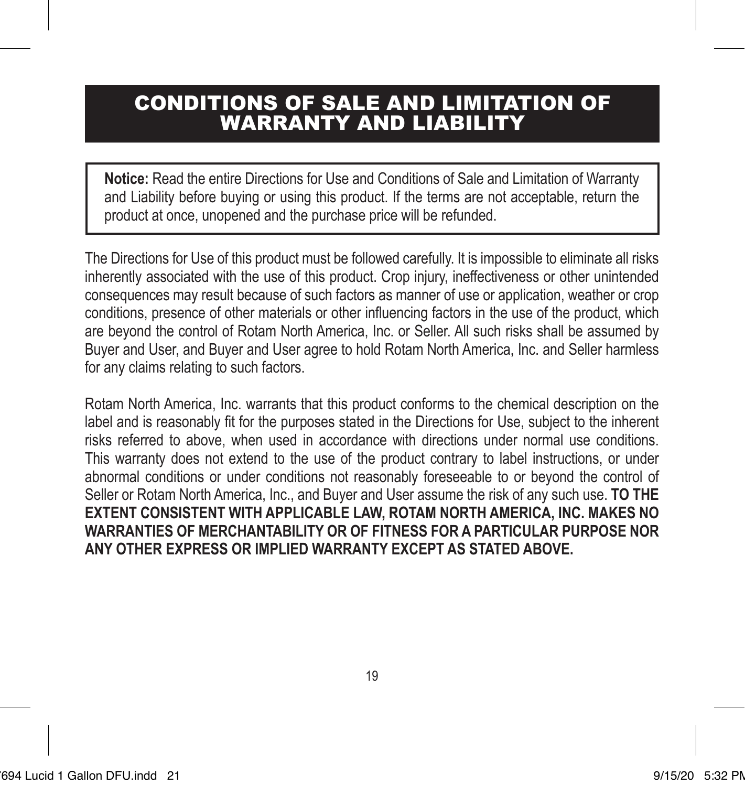### CONDITIONS OF SALE AND LIMITATION OF WARRANTY AND LIABILITY

**Notice:** Read the entire Directions for Use and Conditions of Sale and Limitation of Warranty and Liability before buying or using this product. If the terms are not acceptable, return the product at once, unopened and the purchase price will be refunded.

The Directions for Use of this product must be followed carefully. It is impossible to eliminate all risks inherently associated with the use of this product. Crop injury, ineffectiveness or other unintended consequences may result because of such factors as manner of use or application, weather or crop conditions, presence of other materials or other influencing factors in the use of the product, which are beyond the control of Rotam North America, Inc. or Seller. All such risks shall be assumed by Buyer and User, and Buyer and User agree to hold Rotam North America, Inc. and Seller harmless for any claims relating to such factors.

Rotam North America, Inc. warrants that this product conforms to the chemical description on the label and is reasonably fit for the purposes stated in the Directions for Use, subject to the inherent risks referred to above, when used in accordance with directions under normal use conditions. This warranty does not extend to the use of the product contrary to label instructions, or under abnormal conditions or under conditions not reasonably foreseeable to or beyond the control of Seller or Rotam North America, Inc., and Buyer and User assume the risk of any such use. **TO THE EXTENT CONSISTENT WITH APPLICABLE LAW, ROTAM NORTH AMERICA, INC. MAKES NO WARRANTIES OF MERCHANTABILITY OR OF FITNESS FOR A PARTICULAR PURPOSE NOR ANY OTHER EXPRESS OR IMPLIED WARRANTY EXCEPT AS STATED ABOVE.**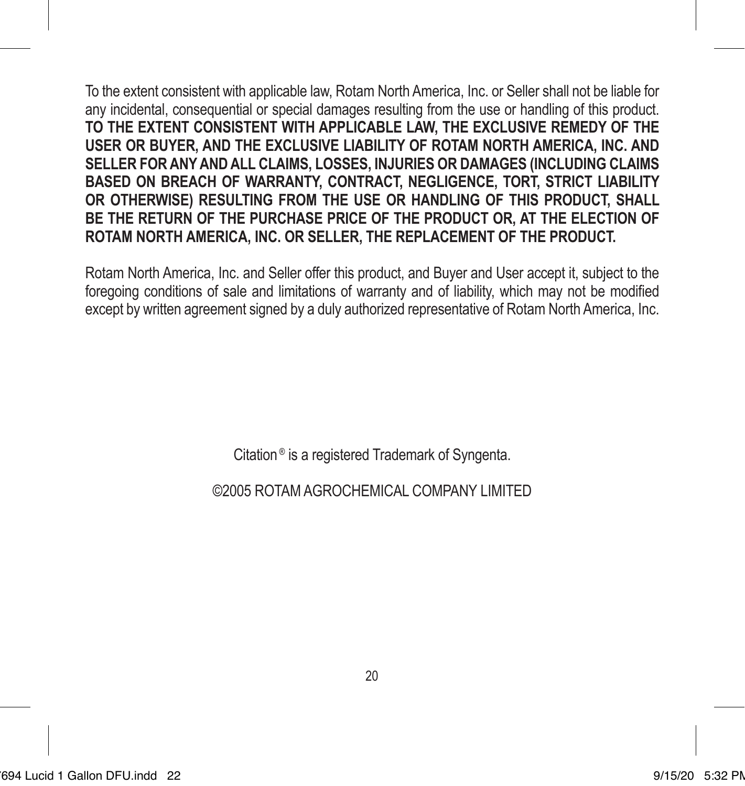To the extent consistent with applicable law, Rotam North America, Inc. or Seller shall not be liable for any incidental, consequential or special damages resulting from the use or handling of this product. **TO THE EXTENT CONSISTENT WITH APPLICABLE LAW, THE EXCLUSIVE REMEDY OF THE USER OR BUYER, AND THE EXCLUSIVE LIABILITY OF ROTAM NORTH AMERICA, INC. AND SELLER FOR ANY AND ALL CLAIMS, LOSSES, INJURIES OR DAMAGES (INCLUDING CLAIMS BASED ON BREACH OF WARRANTY, CONTRACT, NEGLIGENCE, TORT, STRICT LIABILITY OR OTHERWISE) RESULTING FROM THE USE OR HANDLING OF THIS PRODUCT, SHALL BE THE RETURN OF THE PURCHASE PRICE OF THE PRODUCT OR, AT THE ELECTION OF ROTAM NORTH AMERICA, INC. OR SELLER, THE REPLACEMENT OF THE PRODUCT.**

Rotam North America, Inc. and Seller offer this product, and Buyer and User accept it, subject to the foregoing conditions of sale and limitations of warranty and of liability, which may not be modified except by written agreement signed by a duly authorized representative of Rotam North America, Inc.

Citation ® is a registered Trademark of Syngenta.

©2005 ROTAMAGROCHEMICAL COMPANY LIMITED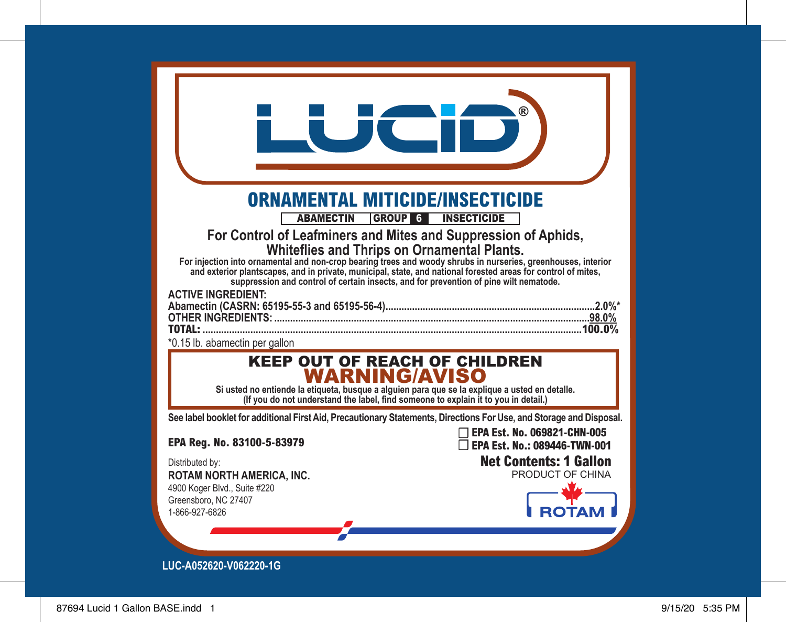|                                                                                                                                                                                                                                                                                                                                                                                                                                                                       | ®                                                           |
|-----------------------------------------------------------------------------------------------------------------------------------------------------------------------------------------------------------------------------------------------------------------------------------------------------------------------------------------------------------------------------------------------------------------------------------------------------------------------|-------------------------------------------------------------|
| <b>ORNAMENTAL MITICIDE/INSECTICIDE</b>                                                                                                                                                                                                                                                                                                                                                                                                                                |                                                             |
| <b>ABAMECTIN</b><br>GROUP 6 INSECTICIDE                                                                                                                                                                                                                                                                                                                                                                                                                               |                                                             |
| For Control of Leafminers and Mites and Suppression of Aphids,<br>Whiteflies and Thrips on Ornamental Plants.<br>For injection into ornamental and non-crop bearing trees and woody shrubs in nurseries, greenhouses, interior<br>and exterior plantscapes, and in private, municipal, state, and national forested areas for control of mites.<br>suppression and control of certain insects, and for prevention of pine wilt nematode.<br><b>ACTIVE INGREDIENT:</b> |                                                             |
| TOTAL:<br>*0.15 lb. abamectin per gallon                                                                                                                                                                                                                                                                                                                                                                                                                              |                                                             |
| <b>KEEP OUT OF REACH OF CHILDREN</b><br><b>WARNING/AVISO</b><br>Si usted no entiende la etiqueta, busque a alguien para que se la explique a usted en detalle.<br>(If you do not understand the label, find someone to explain it to you in detail.)                                                                                                                                                                                                                  |                                                             |
| See label booklet for additional First Aid, Precautionary Statements, Directions For Use, and Storage and Disposal.                                                                                                                                                                                                                                                                                                                                                   |                                                             |
| EPA Reg. No. 83100-5-83979                                                                                                                                                                                                                                                                                                                                                                                                                                            | EPA Est. No. 069821-CHN-005<br>EPA Est. No.: 089446-TWN-001 |
| Distributed by:<br>ROTAM NORTH AMERICA, INC.                                                                                                                                                                                                                                                                                                                                                                                                                          | <b>Net Contents: 1 Gallon</b><br>PRODUCT OF CHINA           |
| 4900 Koger Blvd., Suite #220<br>Greensboro, NC 27407<br>1-866-927-6826                                                                                                                                                                                                                                                                                                                                                                                                | ιΑΤι                                                        |
| LUC-A052620-V062220-1G                                                                                                                                                                                                                                                                                                                                                                                                                                                |                                                             |